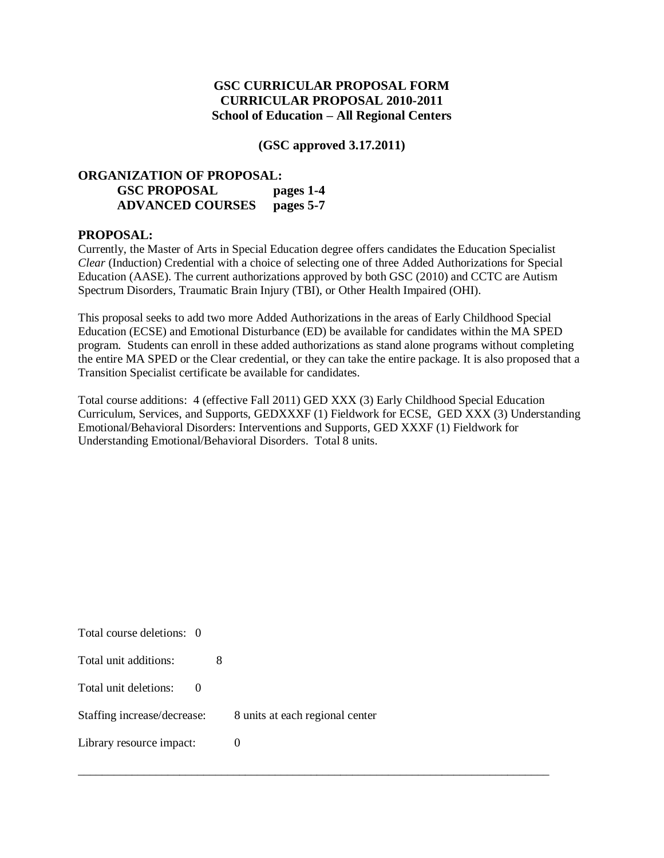### **GSC CURRICULAR PROPOSAL FORM CURRICULAR PROPOSAL 2010-2011 School of Education – All Regional Centers**

**(GSC approved 3.17.2011)**

#### **ORGANIZATION OF PROPOSAL: GSC PROPOSAL pages 1-4 ADVANCED COURSES pages 5-7**

#### **PROPOSAL:**

Currently, the Master of Arts in Special Education degree offers candidates the Education Specialist *Clear* (Induction) Credential with a choice of selecting one of three Added Authorizations for Special Education (AASE). The current authorizations approved by both GSC (2010) and CCTC are Autism Spectrum Disorders, Traumatic Brain Injury (TBI), or Other Health Impaired (OHI).

This proposal seeks to add two more Added Authorizations in the areas of Early Childhood Special Education (ECSE) and Emotional Disturbance (ED) be available for candidates within the MA SPED program. Students can enroll in these added authorizations as stand alone programs without completing the entire MA SPED or the Clear credential, or they can take the entire package. It is also proposed that a Transition Specialist certificate be available for candidates.

Total course additions: 4 (effective Fall 2011) GED XXX (3) Early Childhood Special Education Curriculum, Services, and Supports, GEDXXXF (1) Fieldwork for ECSE, GED XXX (3) Understanding Emotional/Behavioral Disorders: Interventions and Supports, GED XXXF (1) Fieldwork for Understanding Emotional/Behavioral Disorders. Total 8 units.

\_\_\_\_\_\_\_\_\_\_\_\_\_\_\_\_\_\_\_\_\_\_\_\_\_\_\_\_\_\_\_\_\_\_\_\_\_\_\_\_\_\_\_\_\_\_\_\_\_\_\_\_\_\_\_\_\_\_\_\_\_\_\_\_\_\_\_\_\_\_\_\_\_\_\_\_\_\_\_

| Total course deletions: 0   |                                 |
|-----------------------------|---------------------------------|
| Total unit additions:       |                                 |
| Total unit deletions:       |                                 |
| Staffing increase/decrease: | 8 units at each regional center |
| Library resource impact:    |                                 |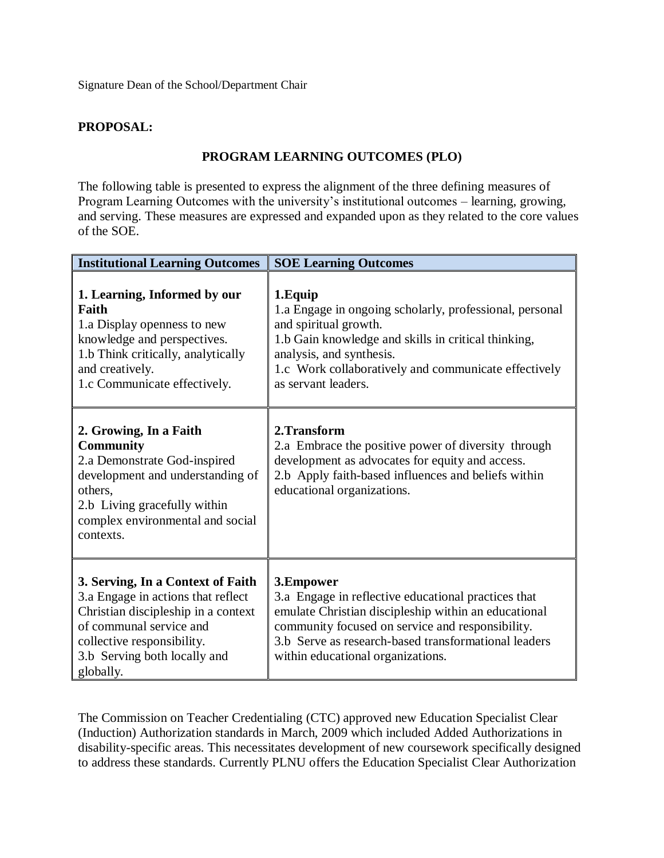Signature Dean of the School/Department Chair

## **PROPOSAL:**

### **PROGRAM LEARNING OUTCOMES (PLO)**

The following table is presented to express the alignment of the three defining measures of Program Learning Outcomes with the university's institutional outcomes – learning, growing, and serving. These measures are expressed and expanded upon as they related to the core values of the SOE.

| <b>Institutional Learning Outcomes</b>                                                                                                                                                                               | <b>SOE Learning Outcomes</b>                                                                                                                                                                                                                                              |
|----------------------------------------------------------------------------------------------------------------------------------------------------------------------------------------------------------------------|---------------------------------------------------------------------------------------------------------------------------------------------------------------------------------------------------------------------------------------------------------------------------|
| 1. Learning, Informed by our<br>Faith<br>1.a Display openness to new<br>knowledge and perspectives.<br>1.b Think critically, analytically<br>and creatively.<br>1.c Communicate effectively.                         | 1. Equip<br>1.a Engage in ongoing scholarly, professional, personal<br>and spiritual growth.<br>1.b Gain knowledge and skills in critical thinking,<br>analysis, and synthesis.<br>1.c Work collaboratively and communicate effectively<br>as servant leaders.            |
| 2. Growing, In a Faith<br><b>Community</b><br>2.a Demonstrate God-inspired<br>development and understanding of<br>others.<br>2.b Living gracefully within<br>complex environmental and social<br>contexts.           | 2. Transform<br>2.a Embrace the positive power of diversity through<br>development as advocates for equity and access.<br>2.b Apply faith-based influences and beliefs within<br>educational organizations.                                                               |
| 3. Serving, In a Context of Faith<br>3.a Engage in actions that reflect<br>Christian discipleship in a context<br>of communal service and<br>collective responsibility.<br>3.b Serving both locally and<br>globally. | 3.Empower<br>3.a Engage in reflective educational practices that<br>emulate Christian discipleship within an educational<br>community focused on service and responsibility.<br>3.b Serve as research-based transformational leaders<br>within educational organizations. |

The Commission on Teacher Credentialing (CTC) approved new Education Specialist Clear (Induction) Authorization standards in March, 2009 which included Added Authorizations in disability-specific areas. This necessitates development of new coursework specifically designed to address these standards. Currently PLNU offers the Education Specialist Clear Authorization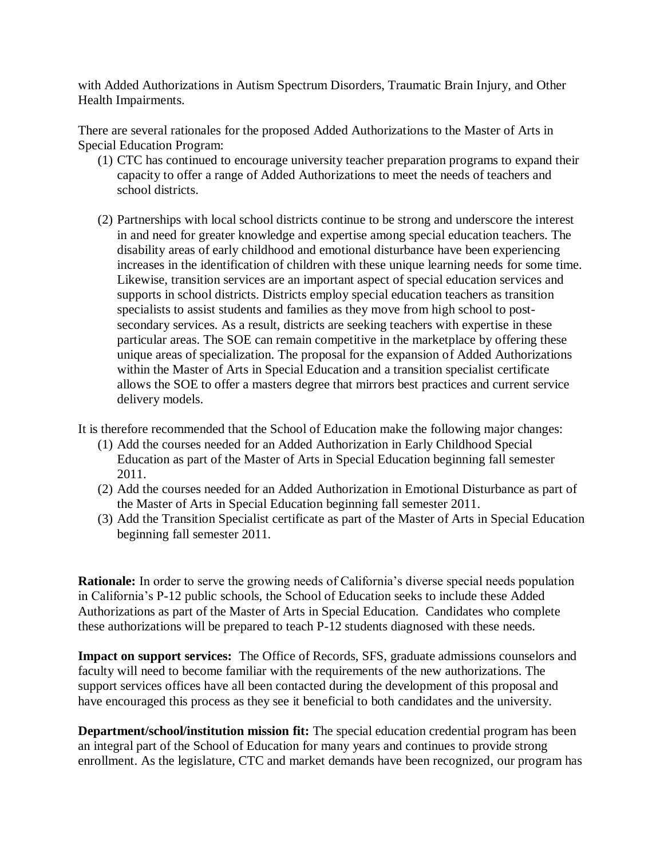with Added Authorizations in Autism Spectrum Disorders, Traumatic Brain Injury, and Other Health Impairments.

There are several rationales for the proposed Added Authorizations to the Master of Arts in Special Education Program:

- (1) CTC has continued to encourage university teacher preparation programs to expand their capacity to offer a range of Added Authorizations to meet the needs of teachers and school districts.
- (2) Partnerships with local school districts continue to be strong and underscore the interest in and need for greater knowledge and expertise among special education teachers. The disability areas of early childhood and emotional disturbance have been experiencing increases in the identification of children with these unique learning needs for some time. Likewise, transition services are an important aspect of special education services and supports in school districts. Districts employ special education teachers as transition specialists to assist students and families as they move from high school to postsecondary services. As a result, districts are seeking teachers with expertise in these particular areas. The SOE can remain competitive in the marketplace by offering these unique areas of specialization. The proposal for the expansion of Added Authorizations within the Master of Arts in Special Education and a transition specialist certificate allows the SOE to offer a masters degree that mirrors best practices and current service delivery models.

It is therefore recommended that the School of Education make the following major changes:

- (1) Add the courses needed for an Added Authorization in Early Childhood Special Education as part of the Master of Arts in Special Education beginning fall semester 2011.
- (2) Add the courses needed for an Added Authorization in Emotional Disturbance as part of the Master of Arts in Special Education beginning fall semester 2011.
- (3) Add the Transition Specialist certificate as part of the Master of Arts in Special Education beginning fall semester 2011.

**Rationale:** In order to serve the growing needs of California's diverse special needs population in California's P-12 public schools, the School of Education seeks to include these Added Authorizations as part of the Master of Arts in Special Education. Candidates who complete these authorizations will be prepared to teach P-12 students diagnosed with these needs.

**Impact on support services:** The Office of Records, SFS, graduate admissions counselors and faculty will need to become familiar with the requirements of the new authorizations. The support services offices have all been contacted during the development of this proposal and have encouraged this process as they see it beneficial to both candidates and the university.

**Department/school/institution mission fit:** The special education credential program has been an integral part of the School of Education for many years and continues to provide strong enrollment. As the legislature, CTC and market demands have been recognized, our program has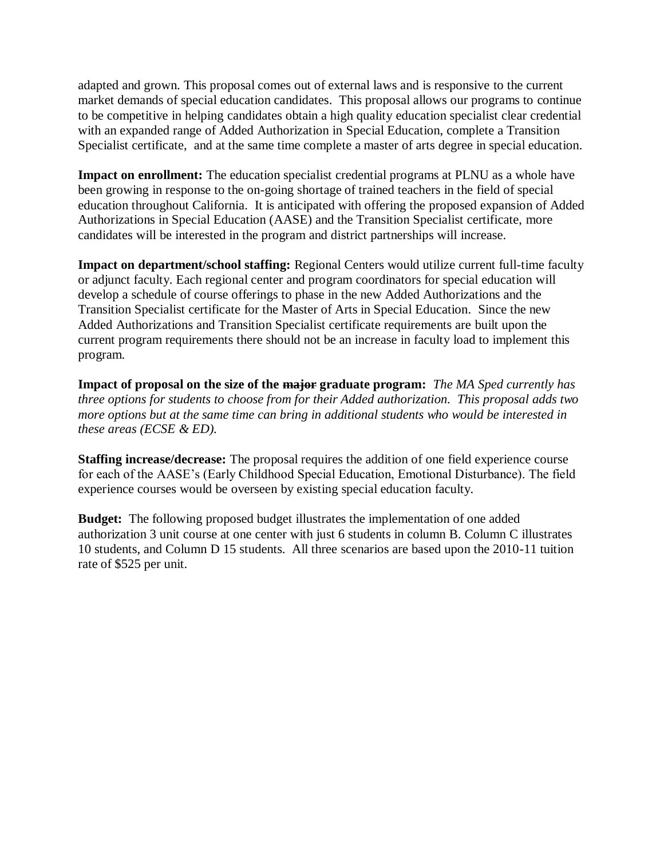adapted and grown. This proposal comes out of external laws and is responsive to the current market demands of special education candidates. This proposal allows our programs to continue to be competitive in helping candidates obtain a high quality education specialist clear credential with an expanded range of Added Authorization in Special Education, complete a Transition Specialist certificate, and at the same time complete a master of arts degree in special education.

**Impact on enrollment:** The education specialist credential programs at PLNU as a whole have been growing in response to the on-going shortage of trained teachers in the field of special education throughout California. It is anticipated with offering the proposed expansion of Added Authorizations in Special Education (AASE) and the Transition Specialist certificate, more candidates will be interested in the program and district partnerships will increase.

**Impact on department/school staffing:** Regional Centers would utilize current full-time faculty or adjunct faculty. Each regional center and program coordinators for special education will develop a schedule of course offerings to phase in the new Added Authorizations and the Transition Specialist certificate for the Master of Arts in Special Education. Since the new Added Authorizations and Transition Specialist certificate requirements are built upon the current program requirements there should not be an increase in faculty load to implement this program.

**Impact of proposal on the size of the major graduate program:** *The MA Sped currently has three options for students to choose from for their Added authorization. This proposal adds two more options but at the same time can bring in additional students who would be interested in these areas (ECSE & ED).* 

**Staffing increase/decrease:** The proposal requires the addition of one field experience course for each of the AASE's (Early Childhood Special Education, Emotional Disturbance). The field experience courses would be overseen by existing special education faculty.

**Budget:** The following proposed budget illustrates the implementation of one added authorization 3 unit course at one center with just 6 students in column B. Column C illustrates 10 students, and Column D 15 students. All three scenarios are based upon the 2010-11 tuition rate of \$525 per unit.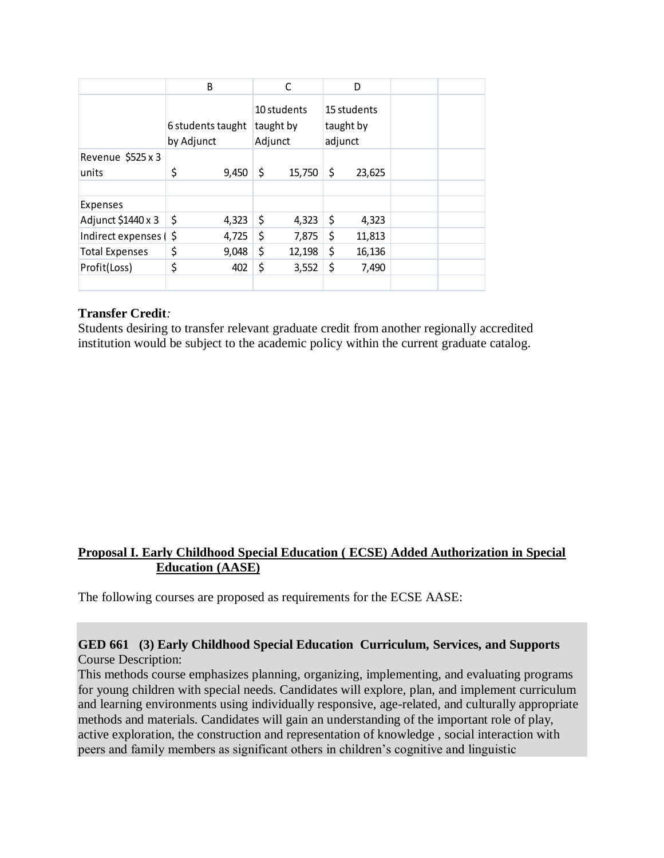|                       | B                               |       |                                     | C      |                                     | D      |  |
|-----------------------|---------------------------------|-------|-------------------------------------|--------|-------------------------------------|--------|--|
|                       | 6 students taught<br>by Adjunct |       | 10 students<br>taught by<br>Adjunct |        | 15 students<br>taught by<br>adjunct |        |  |
| Revenue \$525 x 3     |                                 |       |                                     |        |                                     |        |  |
| units                 | \$                              | 9,450 | \$                                  | 15,750 | \$                                  | 23,625 |  |
|                       |                                 |       |                                     |        |                                     |        |  |
| Expenses              |                                 |       |                                     |        |                                     |        |  |
| Adjunct \$1440 x 3    | \$                              | 4,323 | \$                                  | 4,323  | \$                                  | 4,323  |  |
| Indirect expenses (\$ |                                 | 4,725 | \$                                  | 7,875  | \$                                  | 11,813 |  |
| <b>Total Expenses</b> | \$                              | 9,048 | \$                                  | 12,198 | \$                                  | 16,136 |  |
| Profit(Loss)          | \$                              | 402   | \$                                  | 3,552  | \$                                  | 7,490  |  |
|                       |                                 |       |                                     |        |                                     |        |  |

### **Transfer Credit***:*

Students desiring to transfer relevant graduate credit from another regionally accredited institution would be subject to the academic policy within the current graduate catalog.

## **Proposal I. Early Childhood Special Education ( ECSE) Added Authorization in Special Education (AASE)**

The following courses are proposed as requirements for the ECSE AASE:

### **GED 661 (3) Early Childhood Special Education Curriculum, Services, and Supports** Course Description:

This methods course emphasizes planning, organizing, implementing, and evaluating programs for young children with special needs. Candidates will explore, plan, and implement curriculum and learning environments using individually responsive, age-related, and culturally appropriate methods and materials. Candidates will gain an understanding of the important role of play, active exploration, the construction and representation of knowledge , social interaction with peers and family members as significant others in children's cognitive and linguistic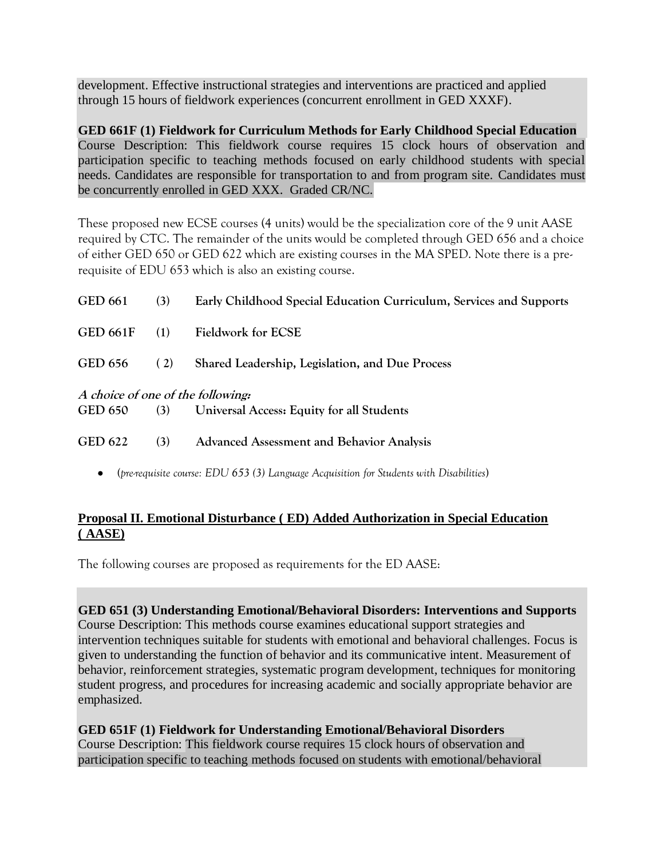development. Effective instructional strategies and interventions are practiced and applied through 15 hours of fieldwork experiences (concurrent enrollment in GED XXXF).

**GED 661F (1) Fieldwork for Curriculum Methods for Early Childhood Special Education** Course Description: This fieldwork course requires 15 clock hours of observation and participation specific to teaching methods focused on early childhood students with special needs. Candidates are responsible for transportation to and from program site. Candidates must be concurrently enrolled in GED XXX. Graded CR/NC.

These proposed new ECSE courses (4 units) would be the specialization core of the 9 unit AASE required by CTC. The remainder of the units would be completed through GED 656 and a choice of either GED 650 or GED 622 which are existing courses in the MA SPED. Note there is a prerequisite of EDU 653 which is also an existing course.

| <b>GED 661</b>                    | (3) | Early Childhood Special Education Curriculum, Services and Supports |  |  |
|-----------------------------------|-----|---------------------------------------------------------------------|--|--|
| <b>GED 661F</b>                   | (1) | <b>Fieldwork for ECSE</b>                                           |  |  |
| <b>GED 656</b>                    | (2) | Shared Leadership, Legislation, and Due Process                     |  |  |
| A choice of one of the following: |     |                                                                     |  |  |
| <b>GED 650</b>                    | (3) | Universal Access: Equity for all Students                           |  |  |
| GED 622                           | (3) | <b>Advanced Assessment and Behavior Analysis</b>                    |  |  |

**(***pre-requisite course: EDU 653 (3) Language Acquisition for Students with Disabilities***)**

# **Proposal II. Emotional Disturbance ( ED) Added Authorization in Special Education ( AASE)**

The following courses are proposed as requirements for the ED AASE:

**GED 651 (3) Understanding Emotional/Behavioral Disorders: Interventions and Supports** Course Description: This methods course examines educational support strategies and intervention techniques suitable for students with emotional and behavioral challenges. Focus is given to understanding the function of behavior and its communicative intent. Measurement of behavior, reinforcement strategies, systematic program development, techniques for monitoring student progress, and procedures for increasing academic and socially appropriate behavior are emphasized.

#### **GED 651F (1) Fieldwork for Understanding Emotional/Behavioral Disorders** Course Description: This fieldwork course requires 15 clock hours of observation and participation specific to teaching methods focused on students with emotional/behavioral